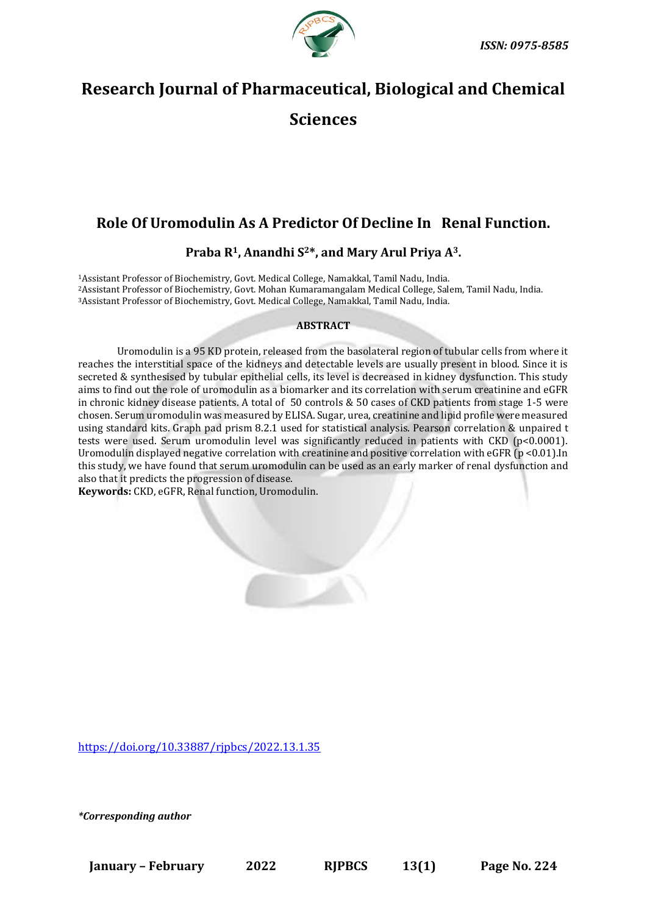

# **Research Journal of Pharmaceutical, Biological and Chemical**

**Sciences**

# **Role Of Uromodulin As A Predictor Of Decline In Renal Function.**

**Praba R1, Anandhi S2\*, and Mary Arul Priya A3.**

<sup>1</sup>Assistant Professor of Biochemistry, Govt. Medical College, Namakkal, Tamil Nadu, India. <sup>2</sup>Assistant Professor of Biochemistry, Govt. Mohan Kumaramangalam Medical College, Salem, Tamil Nadu, India. <sup>3</sup>Assistant Professor of Biochemistry, Govt. Medical College, Namakkal, Tamil Nadu, India.

#### **ABSTRACT**

Uromodulin is a 95 KD protein, released from the basolateral region of tubular cells from where it reaches the interstitial space of the kidneys and detectable levels are usually present in blood. Since it is secreted & synthesised by tubular epithelial cells, its level is decreased in kidney dysfunction. This study aims to find out the role of uromodulin as a biomarker and its correlation with serum creatinine and eGFR in chronic kidney disease patients. A total of 50 controls & 50 cases of CKD patients from stage 1-5 were chosen. Serum uromodulin was measured by ELISA. Sugar, urea, creatinine and lipid profile were measured using standard kits. Graph pad prism 8.2.1 used for statistical analysis. Pearson correlation & unpaired t tests were used. Serum uromodulin level was significantly reduced in patients with CKD (p<0.0001). Uromodulin displayed negative correlation with creatinine and positive correlation with eGFR (p <0.01).In this study, we have found that serum uromodulin can be used as an early marker of renal dysfunction and also that it predicts the progression of disease.

**Keywords:** CKD, eGFR, Renal function, Uromodulin.

<https://doi.org/10.33887/rjpbcs/2022.13.1.35>

*\*Corresponding author*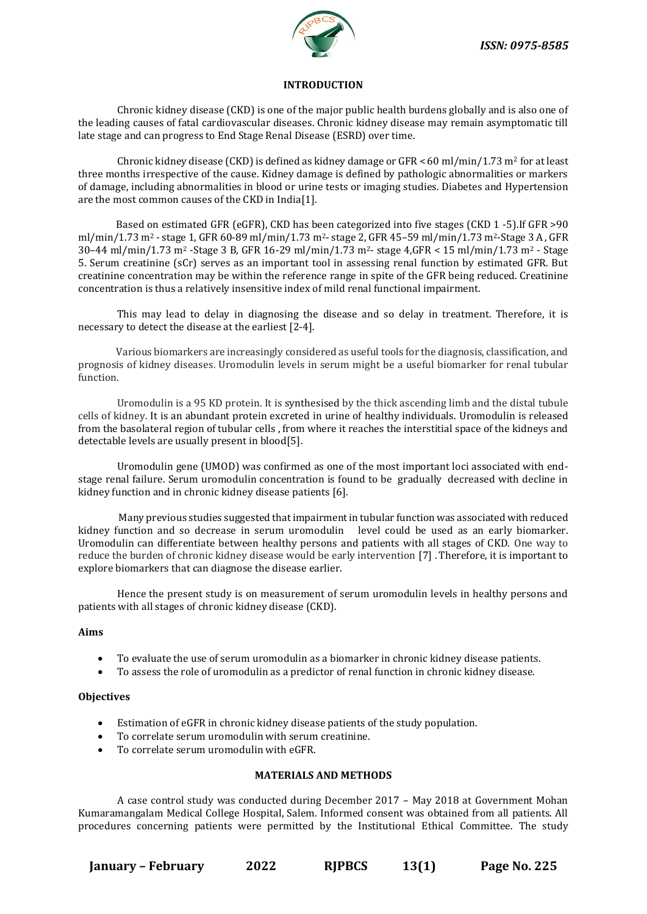

#### **INTRODUCTION**

Chronic kidney disease (CKD) is one of the major public health burdens globally and is also one of the leading causes of fatal cardiovascular diseases. Chronic kidney disease may remain asymptomatic till late stage and can progress to End Stage Renal Disease (ESRD) over time.

Chronic kidney disease (CKD) is defined as kidney damage or  $GFR < 60$  ml/min/1.73 m<sup>2</sup> for at least three months irrespective of the cause. Kidney damage is defined by pathologic abnormalities or markers of damage, including abnormalities in blood or urine tests or imaging studies. Diabetes and Hypertension are the most common causes of the CKD in India[1].

 Based on estimated GFR (eGFR), CKD has been categorized into five stages (CKD 1 -5).If GFR >90 ml/min/1.73 m<sup>2</sup> - stage 1, GFR 60-89 ml/min/1.73 m2- stage 2, GFR 45–59 ml/min/1.73 m2-Stage 3 A , GFR 30–44 ml/min/1.73 m<sup>2</sup> -Stage 3 B, GFR 16-29 ml/min/1.73 m<sup>2</sup> - stage 4,GFR < 15 ml/min/1.73 m<sup>2</sup> - Stage 5. Serum creatinine (sCr) serves as an important tool in assessing renal function by estimated GFR. But creatinine concentration may be within the reference range in spite of the GFR being reduced. Creatinine concentration is thus a relatively insensitive index of mild renal functional impairment.

 This may lead to delay in diagnosing the disease and so delay in treatment. Therefore, it is necessary to detect the disease at the earliest [2-4].

 Various biomarkers are increasingly considered as useful tools for the diagnosis, classification, and prognosis of kidney diseases. Uromodulin levels in serum might be a useful biomarker for renal tubular function.

Uromodulin is a 95 KD protein. It is synthesised by the thick ascending limb and the distal tubule cells of kidney. It is an abundant protein excreted in urine of healthy individuals. Uromodulin is released from the basolateral region of tubular cells , from where it reaches the interstitial space of the kidneys and detectable levels are usually present in blood[5].

Uromodulin gene (UMOD) was confirmed as one of the most important loci associated with endstage renal failure. Serum uromodulin concentration is found to be gradually decreased with decline in kidney function and in chronic kidney disease patients [6].

 Many previous studies suggested that impairment in tubular function was associated with reduced kidney function and so decrease in serum uromodulin level could be used as an early biomarker. Uromodulin can differentiate between healthy persons and patients with all stages of CKD. One way to reduce the burden of chronic kidney disease would be early intervention [7] . Therefore, it is important to explore biomarkers that can diagnose the disease earlier.

Hence the present study is on measurement of serum uromodulin levels in healthy persons and patients with all stages of chronic kidney disease (CKD).

#### **Aims**

- To evaluate the use of serum uromodulin as a biomarker in chronic kidney disease patients.
- To assess the role of uromodulin as a predictor of renal function in chronic kidney disease.

#### **Objectives**

- Estimation of eGFR in chronic kidney disease patients of the study population.
- To correlate serum uromodulin with serum creatinine.
- To correlate serum uromodulin with eGFR.

#### **MATERIALS AND METHODS**

A case control study was conducted during December 2017 – May 2018 at Government Mohan Kumaramangalam Medical College Hospital, Salem. Informed consent was obtained from all patients. All procedures concerning patients were permitted by the Institutional Ethical Committee. The study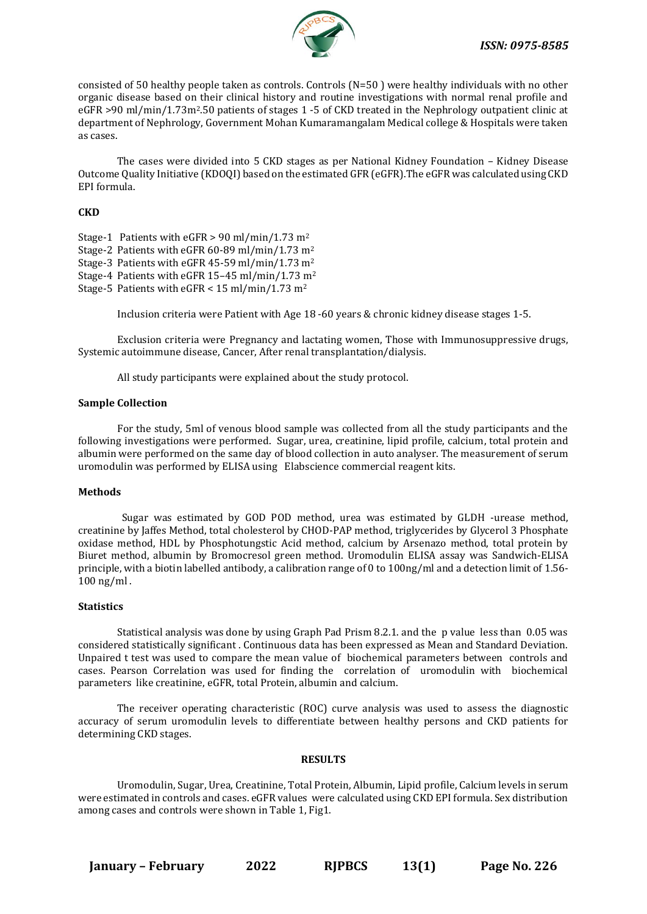

consisted of 50 healthy people taken as controls. Controls (N=50 ) were healthy individuals with no other organic disease based on their clinical history and routine investigations with normal renal profile and eGFR >90 ml/min/1.73m2.50 patients of stages 1 -5 of CKD treated in the Nephrology outpatient clinic at department of Nephrology, Government Mohan Kumaramangalam Medical college & Hospitals were taken as cases.

The cases were divided into 5 CKD stages as per National Kidney Foundation – Kidney Disease Outcome Quality Initiative (KDOQI) based on the estimated GFR (eGFR).The eGFR was calculated using CKD EPI formula.

#### **CKD**

- Stage-1 Patients with eGFR  $> 90$  ml/min/1.73 m<sup>2</sup> Stage-2 Patients with eGFR 60-89 ml/min/1.73 m<sup>2</sup> Stage-3 Patients with eGFR 45-59 ml/min/1.73 m<sup>2</sup> Stage-4 Patients with eGFR 15–45 ml/min/1.73 m<sup>2</sup> Stage-5 Patients with eGFR < 15 ml/min/1.73 m<sup>2</sup>
	- Inclusion criteria were Patient with Age 18 -60 years & chronic kidney disease stages 1-5.

Exclusion criteria were Pregnancy and lactating women, Those with Immunosuppressive drugs, Systemic autoimmune disease, Cancer, After renal transplantation/dialysis.

All study participants were explained about the study protocol.

#### **Sample Collection**

For the study, 5ml of venous blood sample was collected from all the study participants and the following investigations were performed. Sugar, urea, creatinine, lipid profile, calcium, total protein and albumin were performed on the same day of blood collection in auto analyser. The measurement of serum uromodulin was performed by ELISA using Elabscience commercial reagent kits.

#### **Methods**

 Sugar was estimated by GOD POD method, urea was estimated by GLDH -urease method, creatinine by Jaffes Method, total cholesterol by CHOD-PAP method, triglycerides by Glycerol 3 Phosphate oxidase method, HDL by Phosphotungstic Acid method, calcium by Arsenazo method, total protein by Biuret method, albumin by Bromocresol green method. Uromodulin ELISA assay was Sandwich-ELISA principle, with a biotin labelled antibody, a calibration range of 0 to 100ng/ml and a detection limit of 1.56- 100 ng/ml .

#### **Statistics**

Statistical analysis was done by using Graph Pad Prism 8.2.1. and the p value less than 0.05 was considered statistically significant . Continuous data has been expressed as Mean and Standard Deviation. Unpaired t test was used to compare the mean value of biochemical parameters between controls and cases. Pearson Correlation was used for finding the correlation of uromodulin with biochemical parameters like creatinine, eGFR, total Protein, albumin and calcium.

The receiver operating characteristic (ROC) curve analysis was used to assess the diagnostic accuracy of serum uromodulin levels to differentiate between healthy persons and CKD patients for determining CKD stages.

#### **RESULTS**

Uromodulin, Sugar, Urea, Creatinine, Total Protein, Albumin, Lipid profile, Calcium levels in serum were estimated in controls and cases. eGFR values were calculated using CKD EPI formula. Sex distribution among cases and controls were shown in Table 1, Fig1.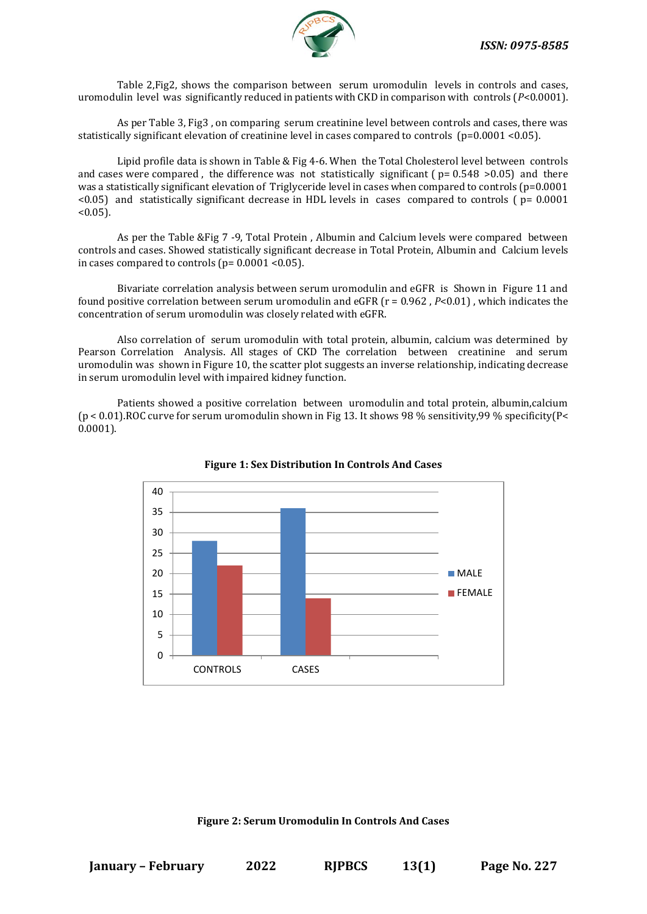Table 2,Fig2, shows the comparison between serum uromodulin levels in controls and cases, uromodulin level was significantly reduced in patients with CKD in comparison with controls (*P*<0.0001).

As per Table 3, Fig3 , on comparing serum creatinine level between controls and cases, there was statistically significant elevation of creatinine level in cases compared to controls (p=0.0001 <0.05).

Lipid profile data is shown in Table & Fig 4-6. When the Total Cholesterol level between controls and cases were compared, the difference was not statistically significant ( $p= 0.548 > 0.05$ ) and there was a statistically significant elevation of Triglyceride level in cases when compared to controls (p=0.0001  $\leq$ 0.05) and statistically significant decrease in HDL levels in cases compared to controls (  $p=$  0.0001  $< 0.05$ ).

As per the Table &Fig 7 -9, Total Protein , Albumin and Calcium levels were compared between controls and cases. Showed statistically significant decrease in Total Protein, Albumin and Calcium levels in cases compared to controls ( $p= 0.0001$  < 0.05).

Bivariate correlation analysis between serum uromodulin and eGFR is Shown in Figure 11 and found positive correlation between serum uromodulin and eGFR (r = 0.962 , *P*<0.01) , which indicates the concentration of serum uromodulin was closely related with eGFR.

Also correlation of serum uromodulin with total protein, albumin, calcium was determined by Pearson Correlation Analysis. All stages of CKD The correlation between creatinine and serum uromodulin was shown in Figure 10, the scatter plot suggests an inverse relationship, indicating decrease in serum uromodulin level with impaired kidney function.

Patients showed a positive correlation between uromodulin and total protein, albumin,calcium  $(p < 0.01)$ .ROC curve for serum uromodulin shown in Fig 13. It shows 98 % sensitivity, 99 % specificity  $(P < 0.01)$ 0.0001).



**Figure 1: Sex Distribution In Controls And Cases**

#### **Figure 2: Serum Uromodulin In Controls And Cases**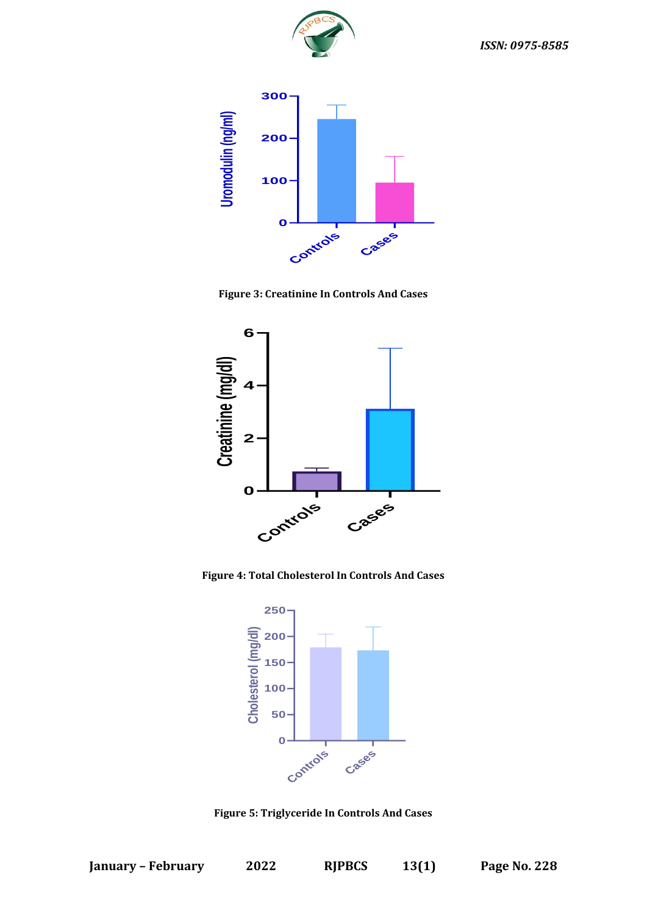



**Figure 3: Creatinine In Controls And Cases**



**Figure 4: Total Cholesterol In Controls And Cases**



**Figure 5: Triglyceride In Controls And Cases**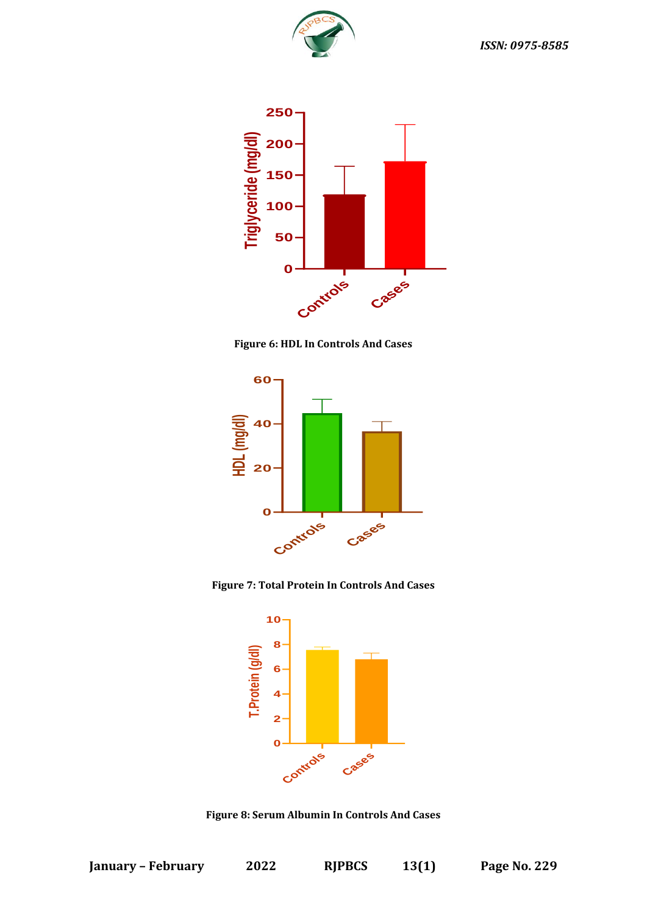



**Figure 6: HDL In Controls And Cases**



**Figure 7: Total Protein In Controls And Cases**



**Figure 8: Serum Albumin In Controls And Cases**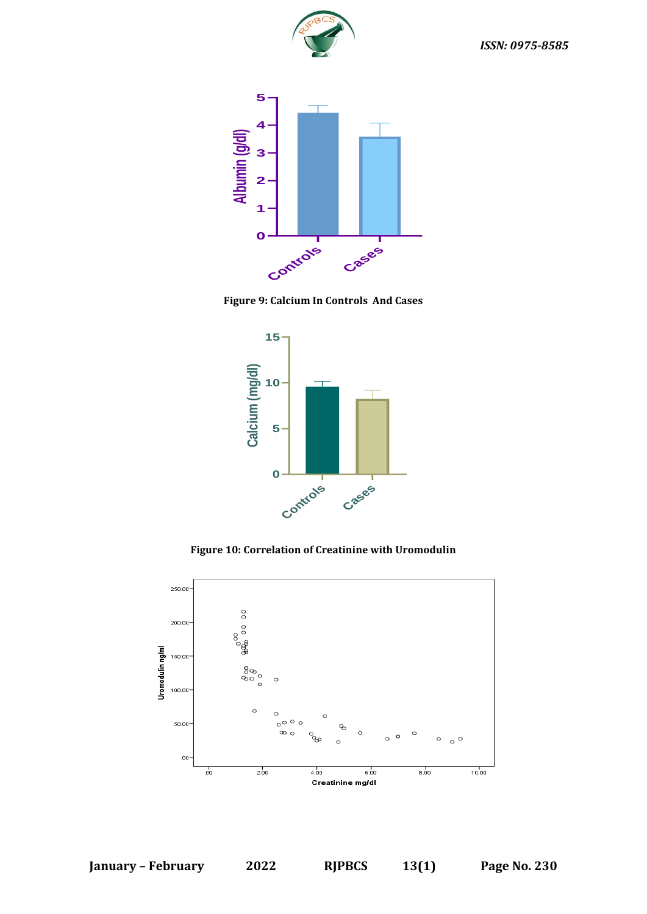







**Figure 10: Correlation of Creatinine with Uromodulin**

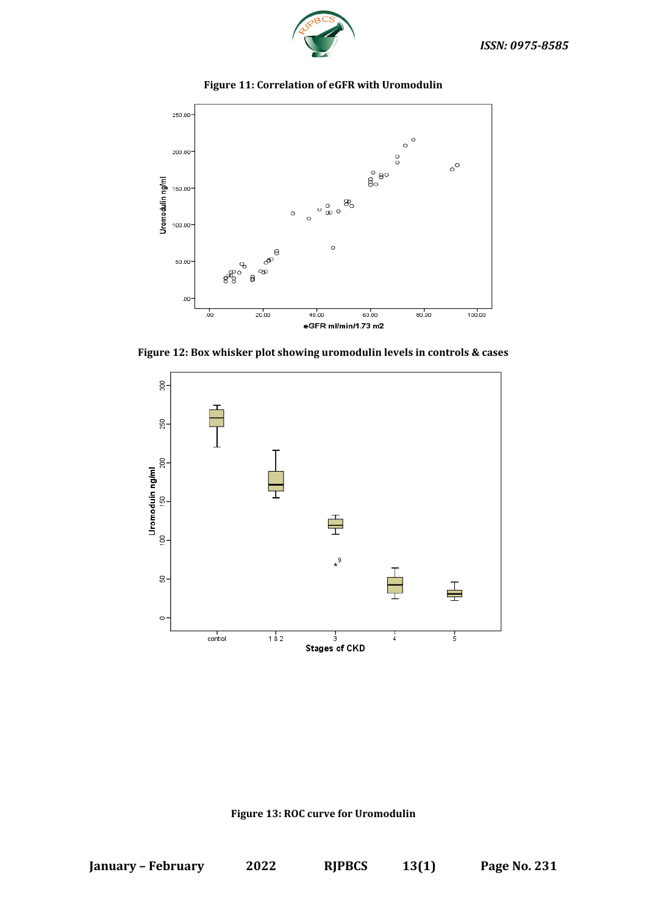



#### **Figure 11: Correlation of eGFR with Uromodulin**

**Figure 12: Box whisker plot showing uromodulin levels in controls & cases**



# **Figure 13: ROC curve for Uromodulin**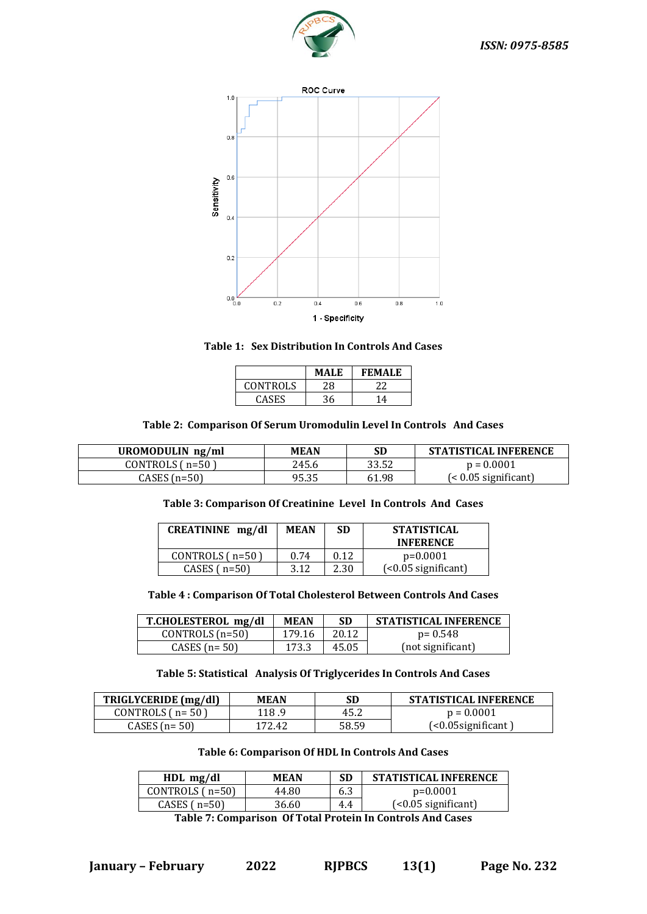



**Table 1: Sex Distribution In Controls And Cases**

|                 | <b>MALE</b> | <b>FEMALE</b>            |
|-----------------|-------------|--------------------------|
| <b>CONTROLS</b> | 28          |                          |
| <b>CASES</b>    | 36          | $\boldsymbol{\varDelta}$ |

# **Table 2: Comparison Of Serum Uromodulin Level In Controls And Cases**

| UROMODULIN ng/ml | <b>MEAN</b> | SD    | <b>STATISTICAL INFERENCE</b> |
|------------------|-------------|-------|------------------------------|
| CONTROLS (n=50)  | 245.6       | 33.52 | $p = 0.0001$                 |
| CASES (n=50)     | 95.35       | 61.98 | (< 0.05 significant)         |

#### **Table 3: Comparison Of Creatinine Level In Controls And Cases**

| CREATININE mg/dl  | <b>MEAN</b> | SD   | <b>STATISTICAL</b><br><b>INFERENCE</b> |
|-------------------|-------------|------|----------------------------------------|
| CONTROLS $(n=50)$ | 0.74        | 0.12 | $p=0.0001$                             |
| CASES $(n=50)$    | 3.12        | 2.30 | $(-0.05$ significant)                  |

# **Table 4 : Comparison Of Total Cholesterol Between Controls And Cases**

| T.CHOLESTEROL mg/dl | <b>MEAN</b> | <b>SD</b> | <b>STATISTICAL INFERENCE</b> |
|---------------------|-------------|-----------|------------------------------|
| CONTROLS $(n=50)$   | 179.16      | 20.12     | $p = 0.548$                  |
| CASES $(n=50)$      | 173.3       | 45.05     | (not significant)            |

# **Table 5: Statistical Analysis Of Triglycerides In Controls And Cases**

| TRIGLYCERIDE (mg/dl) | MEAN   | SD    | <b>STATISTICAL INFERENCE</b> |
|----------------------|--------|-------|------------------------------|
| CONTROLS $(n=50)$    | 118.9  | 45.2  | $p = 0.0001$                 |
| CASES $(n=50)$       | 172.42 | 58.59 | (<0.05significant`           |

#### **Table 6: Comparison Of HDL In Controls And Cases**

| $HDL$ mg/dl       | <b>MEAN</b> | SD  | <b>STATISTICAL INFERENCE</b> |  |
|-------------------|-------------|-----|------------------------------|--|
| CONTROLS $(n=50)$ | 44.80       | 6.3 | $p=0.0001$                   |  |
| CASES $(n=50)$    | 36.60       | 4.4 | $\left($ <0.05 significant)  |  |
|                   |             |     |                              |  |

**Table 7: Comparison Of Total Protein In Controls And Cases**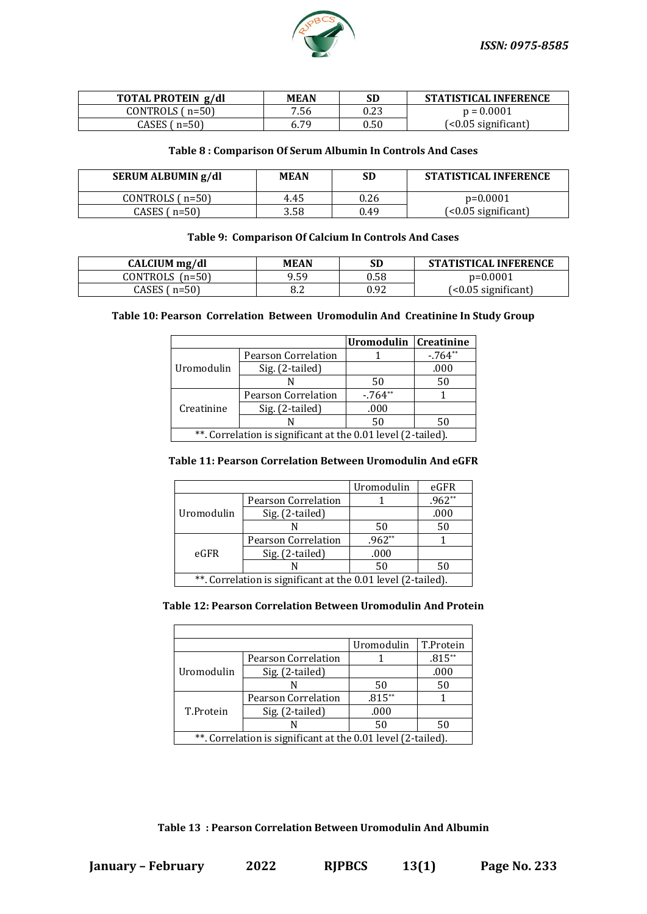

| TOTAL PROTEIN g/dl | <b>MEAN</b> |      | <b>STATISTICAL INFERENCE</b> |
|--------------------|-------------|------|------------------------------|
| CONTROLS $(n=50)$  | 7.56        | 0.23 | $p = 0.0001$                 |
| CASES $(n=50)$     | 6.79        | 0.50 | $($ $0.05$ significant $)$   |

# **Table 8 : Comparison Of Serum Albumin In Controls And Cases**

| SERUM ALBUMIN g/dl | <b>MEAN</b> | SD   | <b>STATISTICAL INFERENCE</b> |
|--------------------|-------------|------|------------------------------|
| CONTROLS $(n=50)$  | 4.45        | 0.26 | $p=0.0001$                   |
| CASES (n=50)       | 3.58        | 0.49 | $\left($ <0.05 significant)  |

# **Table 9: Comparison Of Calcium In Controls And Cases**

| CALCIUM mg/dl       | <b>MEAN</b> | SD   | <b>STATISTICAL INFERENCE</b> |
|---------------------|-------------|------|------------------------------|
| $CONTROLS$ $(n=50)$ | 9.59        | 0.58 | $p=0.0001$                   |
| CASES (n=50)        |             | 0.92 | $(0.05 significant)$         |

# **Table 10: Pearson Correlation Between Uromodulin And Creatinine In Study Group**

|                                                              |                     | Uromodulin   Creatinine |          |
|--------------------------------------------------------------|---------------------|-------------------------|----------|
|                                                              | Pearson Correlation |                         | $-764**$ |
| Uromodulin                                                   | Sig. (2-tailed)     |                         | .000     |
|                                                              |                     | 50                      | 50       |
|                                                              | Pearson Correlation | $-764**$                |          |
| Creatinine                                                   | Sig. (2-tailed)     | .000                    |          |
|                                                              |                     | 50                      | 50       |
| **. Correlation is significant at the 0.01 level (2-tailed). |                     |                         |          |

# **Table 11: Pearson Correlation Between Uromodulin And eGFR**

|                                                              |                     | Uromodulin | eGFR     |
|--------------------------------------------------------------|---------------------|------------|----------|
| Uromodulin                                                   | Pearson Correlation |            | $.962**$ |
|                                                              | Sig. (2-tailed)     |            | .000     |
|                                                              |                     | 50         | 50       |
|                                                              | Pearson Correlation | $.962**$   |          |
| eGFR                                                         | Sig. (2-tailed)     | .000       |          |
|                                                              |                     | 50         | 50       |
| **. Correlation is significant at the 0.01 level (2-tailed). |                     |            |          |

#### **Table 12: Pearson Correlation Between Uromodulin And Protein**

|            |                                                              | Uromodulin | T.Protein |
|------------|--------------------------------------------------------------|------------|-----------|
|            | Pearson Correlation                                          |            | $.815**$  |
| Uromodulin | Sig. (2-tailed)                                              |            | .000      |
|            |                                                              | 50         | 50        |
|            | Pearson Correlation                                          | $.815**$   |           |
| T.Protein  | Sig. (2-tailed)                                              | .000       |           |
|            |                                                              | 50         | 50        |
|            | **. Correlation is significant at the 0.01 level (2-tailed). |            |           |

# **Table 13 : Pearson Correlation Between Uromodulin And Albumin**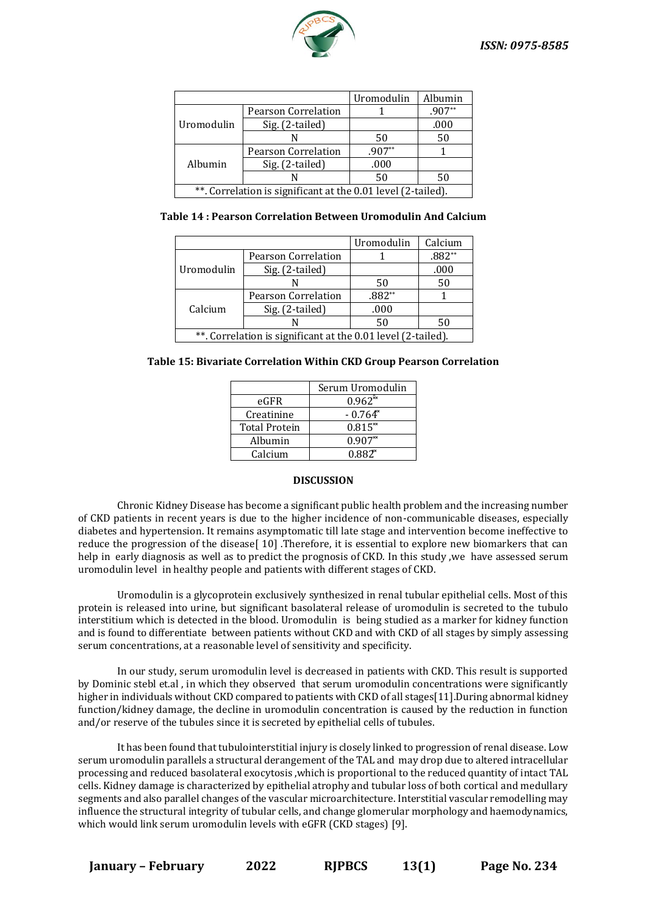

|                                                              |                                        | Uromodulin | Albumin  |  |
|--------------------------------------------------------------|----------------------------------------|------------|----------|--|
| Uromodulin                                                   | <b>Pearson Correlation</b>             |            | $.907**$ |  |
|                                                              | Sig. (2-tailed)                        |            | .000     |  |
|                                                              |                                        | 50         | 50       |  |
| Albumin                                                      | $.907**$<br><b>Pearson Correlation</b> |            |          |  |
|                                                              | Sig. (2-tailed)                        | .000       |          |  |
|                                                              |                                        | 50         | 50       |  |
| **. Correlation is significant at the 0.01 level (2-tailed). |                                        |            |          |  |

**Table 14 : Pearson Correlation Between Uromodulin And Calcium**

|                                                              |                            | Uromodulin | Calcium  |  |  |
|--------------------------------------------------------------|----------------------------|------------|----------|--|--|
| Uromodulin                                                   | <b>Pearson Correlation</b> |            | $.882**$ |  |  |
|                                                              | Sig. (2-tailed)            |            | .000     |  |  |
|                                                              |                            | 50         | 50       |  |  |
| Calcium                                                      | <b>Pearson Correlation</b> | .882**     |          |  |  |
|                                                              | Sig. (2-tailed)            | .000       |          |  |  |
|                                                              | N                          | 50         | 50       |  |  |
| **. Correlation is significant at the 0.01 level (2-tailed). |                            |            |          |  |  |

|  |  | Table 15: Bivariate Correlation Within CKD Group Pearson Correlation |  |
|--|--|----------------------------------------------------------------------|--|
|  |  |                                                                      |  |

| Serum Uromodulin |  |  |
|------------------|--|--|
|                  |  |  |
| $-0.764^{\circ}$ |  |  |
| $0.815^{*}$      |  |  |
|                  |  |  |
|                  |  |  |
|                  |  |  |

#### **DISCUSSION**

Chronic Kidney Disease has become a significant public health problem and the increasing number of CKD patients in recent years is due to the higher incidence of non-communicable diseases, especially diabetes and hypertension. It remains asymptomatic till late stage and intervention become ineffective to reduce the progression of the disease[10] .Therefore, it is essential to explore new biomarkers that can help in early diagnosis as well as to predict the prognosis of CKD. In this study ,we have assessed serum uromodulin level in healthy people and patients with different stages of CKD.

Uromodulin is a glycoprotein exclusively synthesized in renal tubular epithelial cells. Most of this protein is released into urine, but significant basolateral release of uromodulin is secreted to the tubulo interstitium which is detected in the blood. Uromodulin is being studied as a marker for kidney function and is found to differentiate between patients without CKD and with CKD of all stages by simply assessing serum concentrations, at a reasonable level of sensitivity and specificity.

In our study, serum uromodulin level is decreased in patients with CKD. This result is supported by Dominic stebl et.al , in which they observed that serum uromodulin concentrations were significantly higher in individuals without CKD compared to patients with CKD of all stages[11].During abnormal kidney function/kidney damage, the decline in uromodulin concentration is caused by the reduction in function and/or reserve of the tubules since it is secreted by epithelial cells of tubules.

It has been found that tubulointerstitial injury is closely linked to progression of renal disease. Low serum uromodulin parallels a structural derangement of the TAL and may drop due to altered intracellular processing and reduced basolateral exocytosis ,which is proportional to the reduced quantity of intact TAL cells. Kidney damage is characterized by epithelial atrophy and tubular loss of both cortical and medullary segments and also parallel changes of the vascular microarchitecture. Interstitial vascular remodelling may influence the structural integrity of tubular cells, and change glomerular morphology and haemodynamics, which would link serum uromodulin levels with eGFR (CKD stages) [9].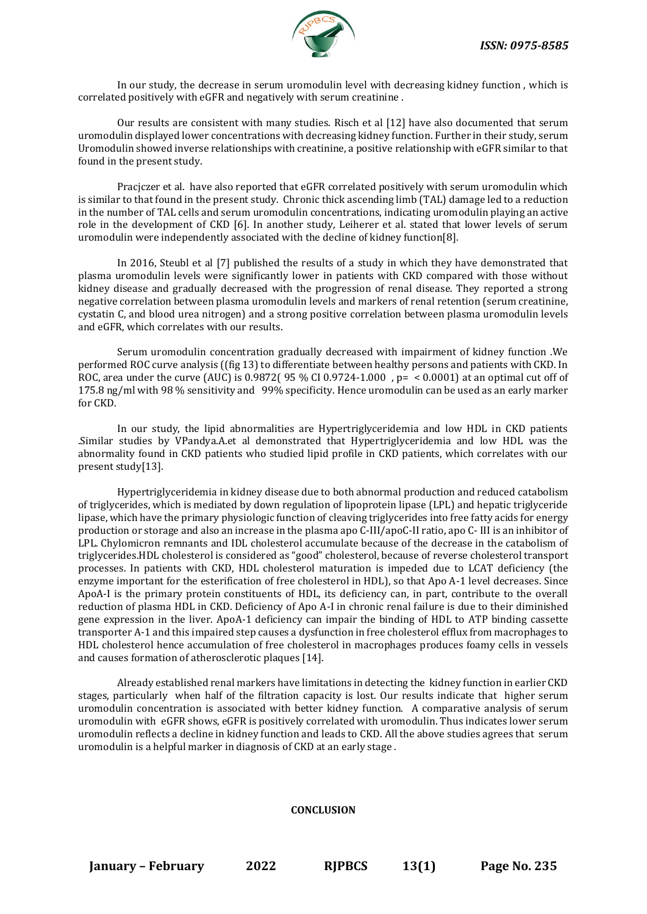

In our study, the decrease in serum uromodulin level with decreasing kidney function , which is correlated positively with eGFR and negatively with serum creatinine .

Our results are consistent with many studies. Risch et al [12] have also documented that serum uromodulin displayed lower concentrations with decreasing kidney function. Further in their study, serum Uromodulin showed inverse relationships with creatinine, a positive relationship with eGFR similar to that found in the present study.

Pracjczer et al. have also reported that eGFR correlated positively with serum uromodulin which is similar to that found in the present study. Chronic thick ascending limb (TAL) damage led to a reduction in the number of TAL cells and serum uromodulin concentrations, indicating uromodulin playing an active role in the development of CKD [6]. In another study, Leiherer et al. stated that lower levels of serum uromodulin were independently associated with the decline of kidney function[8].

In 2016, Steubl et al [7] published the results of a study in which they have demonstrated that plasma uromodulin levels were significantly lower in patients with CKD compared with those without kidney disease and gradually decreased with the progression of renal disease. They reported a strong negative correlation between plasma uromodulin levels and markers of renal retention (serum creatinine, cystatin C, and blood urea nitrogen) and a strong positive correlation between plasma uromodulin levels and eGFR, which correlates with our results.

Serum uromodulin concentration gradually decreased with impairment of kidney function .We performed ROC curve analysis ((fig 13) to differentiate between healthy persons and patients with CKD. In ROC, area under the curve (AUC) is 0.9872( 95 % CI 0.9724-1.000, p =  $\leq$  0.0001) at an optimal cut off of 175.8 ng/ml with 98 % sensitivity and 99% specificity. Hence uromodulin can be used as an early marker for CKD.

In our study, the lipid abnormalities are Hypertriglyceridemia and low HDL in CKD patients .Similar studies by VPandya.A.et al demonstrated that Hypertriglyceridemia and low HDL was the abnormality found in CKD patients who studied lipid profile in CKD patients, which correlates with our present study[13].

Hypertriglyceridemia in kidney disease due to both abnormal production and reduced catabolism of triglycerides, which is mediated by down regulation of lipoprotein lipase (LPL) and hepatic triglyceride lipase, which have the primary physiologic function of cleaving triglycerides into free fatty acids for energy production or storage and also an increase in the plasma apo C-III/apoC-II ratio, apo C- III is an inhibitor of LPL. Chylomicron remnants and IDL cholesterol accumulate because of the decrease in the catabolism of triglycerides.HDL cholesterol is considered as "good" cholesterol, because of reverse cholesterol transport processes. In patients with CKD, HDL cholesterol maturation is impeded due to LCAT deficiency (the enzyme important for the esterification of free cholesterol in HDL), so that Apo A-1 level decreases. Since ApoA-I is the primary protein constituents of HDL, its deficiency can, in part, contribute to the overall reduction of plasma HDL in CKD. Deficiency of Apo A-I in chronic renal failure is due to their diminished gene expression in the liver. ApoA-1 deficiency can impair the binding of HDL to ATP binding cassette transporter A-1 and this impaired step causes a dysfunction in free cholesterol efflux from macrophages to HDL cholesterol hence accumulation of free cholesterol in macrophages produces foamy cells in vessels and causes formation of atherosclerotic plaques [14].

Already established renal markers have limitations in detecting the kidney function in earlier CKD stages, particularly when half of the filtration capacity is lost. Our results indicate that higher serum uromodulin concentration is associated with better kidney function. A comparative analysis of serum uromodulin with eGFR shows, eGFR is positively correlated with uromodulin. Thus indicates lower serum uromodulin reflects a decline in kidney function and leads to CKD. All the above studies agrees that serum uromodulin is a helpful marker in diagnosis of CKD at an early stage .

#### **CONCLUSION**